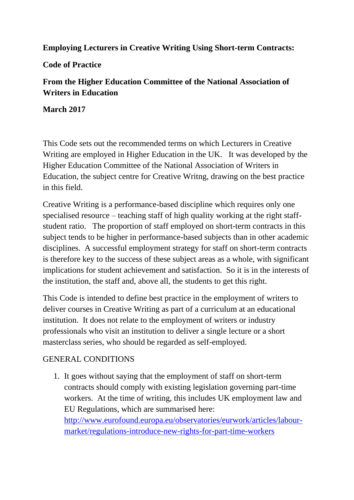## **Employing Lecturers in Creative Writing Using Short-term Contracts:**

**Code of Practice**

# **From the Higher Education Committee of the National Association of Writers in Education**

**March 2017**

This Code sets out the recommended terms on which Lecturers in Creative Writing are employed in Higher Education in the UK. It was developed by the Higher Education Committee of the National Association of Writers in Education, the subject centre for Creative Writng, drawing on the best practice in this field.

Creative Writing is a performance-based discipline which requires only one specialised resource – teaching staff of high quality working at the right staffstudent ratio. The proportion of staff employed on short-term contracts in this subject tends to be higher in performance-based subjects than in other academic disciplines. A successful employment strategy for staff on short-term contracts is therefore key to the success of these subject areas as a whole, with significant implications for student achievement and satisfaction. So it is in the interests of the institution, the staff and, above all, the students to get this right.

This Code is intended to define best practice in the employment of writers to deliver courses in Creative Writing as part of a curriculum at an educational institution. It does not relate to the employment of writers or industry professionals who visit an institution to deliver a single lecture or a short masterclass series, who should be regarded as self-employed.

## GENERAL CONDITIONS

1. It goes without saying that the employment of staff on short-term contracts should comply with existing legislation governing part-time workers. At the time of writing, this includes UK employment law and EU Regulations, which are summarised here: [http://www.eurofound.europa.eu/observatories/eurwork/articles/labour](http://www.eurofound.europa.eu/observatories/eurwork/articles/labour-market/regulations-introduce-new-rights-for-part-time-workers)[market/regulations-introduce-new-rights-for-part-time-workers](http://www.eurofound.europa.eu/observatories/eurwork/articles/labour-market/regulations-introduce-new-rights-for-part-time-workers)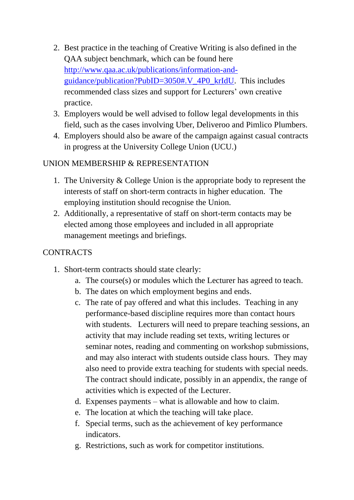- 2. Best practice in the teaching of Creative Writing is also defined in the QAA subject benchmark, which can be found here [http://www.qaa.ac.uk/publications/information-and](http://www.qaa.ac.uk/publications/information-and-guidance/publication?PubID=3050#.V_4P0_krIdU)[guidance/publication?PubID=3050#.V\\_4P0\\_krIdU.](http://www.qaa.ac.uk/publications/information-and-guidance/publication?PubID=3050#.V_4P0_krIdU) This includes recommended class sizes and support for Lecturers' own creative practice.
- 3. Employers would be well advised to follow legal developments in this field, such as the cases involving Uber, Deliveroo and Pimlico Plumbers.
- 4. Employers should also be aware of the campaign against casual contracts in progress at the University College Union (UCU.)

# UNION MEMBERSHIP & REPRESENTATION

- 1. The University & College Union is the appropriate body to represent the interests of staff on short-term contracts in higher education. The employing institution should recognise the Union.
- 2. Additionally, a representative of staff on short-term contacts may be elected among those employees and included in all appropriate management meetings and briefings.

## **CONTRACTS**

- 1. Short-term contracts should state clearly:
	- a. The course(s) or modules which the Lecturer has agreed to teach.
	- b. The dates on which employment begins and ends.
	- c. The rate of pay offered and what this includes. Teaching in any performance-based discipline requires more than contact hours with students. Lecturers will need to prepare teaching sessions, an activity that may include reading set texts, writing lectures or seminar notes, reading and commenting on workshop submissions, and may also interact with students outside class hours. They may also need to provide extra teaching for students with special needs. The contract should indicate, possibly in an appendix, the range of activities which is expected of the Lecturer.
	- d. Expenses payments what is allowable and how to claim.
	- e. The location at which the teaching will take place.
	- f. Special terms, such as the achievement of key performance indicators.
	- g. Restrictions, such as work for competitor institutions.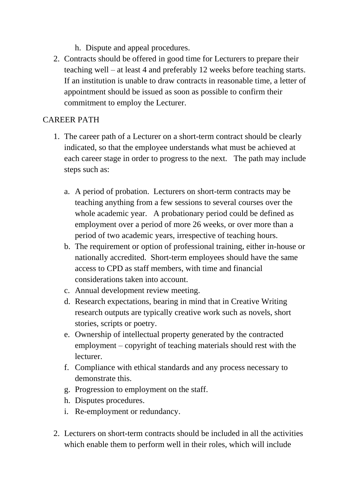- h. Dispute and appeal procedures.
- 2. Contracts should be offered in good time for Lecturers to prepare their teaching well – at least 4 and preferably 12 weeks before teaching starts. If an institution is unable to draw contracts in reasonable time, a letter of appointment should be issued as soon as possible to confirm their commitment to employ the Lecturer.

#### CAREER PATH

- 1. The career path of a Lecturer on a short-term contract should be clearly indicated, so that the employee understands what must be achieved at each career stage in order to progress to the next. The path may include steps such as:
	- a. A period of probation. Lecturers on short-term contracts may be teaching anything from a few sessions to several courses over the whole academic year. A probationary period could be defined as employment over a period of more 26 weeks, or over more than a period of two academic years, irrespective of teaching hours.
	- b. The requirement or option of professional training, either in-house or nationally accredited. Short-term employees should have the same access to CPD as staff members, with time and financial considerations taken into account.
	- c. Annual development review meeting.
	- d. Research expectations, bearing in mind that in Creative Writing research outputs are typically creative work such as novels, short stories, scripts or poetry.
	- e. Ownership of intellectual property generated by the contracted employment – copyright of teaching materials should rest with the lecturer.
	- f. Compliance with ethical standards and any process necessary to demonstrate this.
	- g. Progression to employment on the staff.
	- h. Disputes procedures.
	- i. Re-employment or redundancy.
- 2. Lecturers on short-term contracts should be included in all the activities which enable them to perform well in their roles, which will include